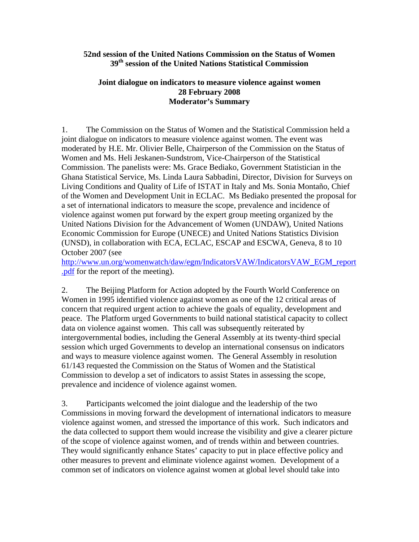## **52nd session of the United Nations Commission on the Status of Women 39th session of the United Nations Statistical Commission**

## **Joint dialogue on indicators to measure violence against women 28 February 2008 Moderator's Summary**

1. The Commission on the Status of Women and the Statistical Commission held a joint dialogue on indicators to measure violence against women. The event was moderated by H.E. Mr. Olivier Belle, Chairperson of the Commission on the Status of Women and Ms. Heli Jeskanen-Sundstrom, Vice-Chairperson of the Statistical Commission. The panelists were: Ms. Grace Bediako, Government Statistician in the Ghana Statistical Service, Ms. Linda Laura Sabbadini, Director, Division for Surveys on Living Conditions and Quality of Life of ISTAT in Italy and Ms. Sonia Montaño, Chief of the Women and Development Unit in ECLAC. Ms Bediako presented the proposal for a set of international indicators to measure the scope, prevalence and incidence of violence against women put forward by the expert group meeting organized by the United Nations Division for the Advancement of Women (UNDAW), United Nations Economic Commission for Europe (UNECE) and United Nations Statistics Division (UNSD), in collaboration with ECA, ECLAC, ESCAP and ESCWA, Geneva, 8 to 10 October 2007 (see

[http://www.un.org/womenwatch/daw/egm/IndicatorsVAW/IndicatorsVAW\\_EGM\\_report](http://www.un.org/womenwatch/daw/egm/IndicatorsVAW/IndicatorsVAW_EGM_report.pdf) [.pdf](http://www.un.org/womenwatch/daw/egm/IndicatorsVAW/IndicatorsVAW_EGM_report.pdf) for the report of the meeting).

2. The Beijing Platform for Action adopted by the Fourth World Conference on Women in 1995 identified violence against women as one of the 12 critical areas of concern that required urgent action to achieve the goals of equality, development and peace. The Platform urged Governments to build national statistical capacity to collect data on violence against women. This call was subsequently reiterated by intergovernmental bodies, including the General Assembly at its twenty-third special session which urged Governments to develop an international consensus on indicators and ways to measure violence against women. The General Assembly in resolution 61/143 requested the Commission on the Status of Women and the Statistical Commission to develop a set of indicators to assist States in assessing the scope, prevalence and incidence of violence against women.

3. Participants welcomed the joint dialogue and the leadership of the two Commissions in moving forward the development of international indicators to measure violence against women, and stressed the importance of this work. Such indicators and the data collected to support them would increase the visibility and give a clearer picture of the scope of violence against women, and of trends within and between countries. They would significantly enhance States' capacity to put in place effective policy and other measures to prevent and eliminate violence against women. Development of a common set of indicators on violence against women at global level should take into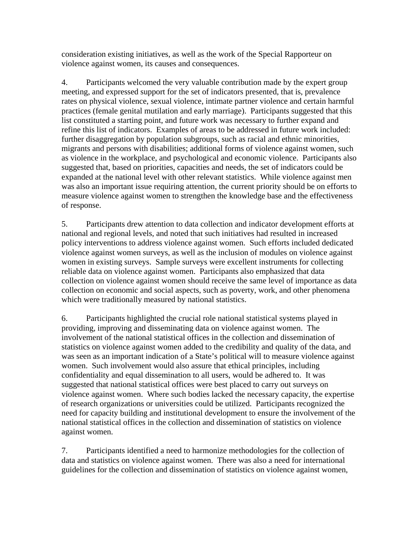consideration existing initiatives, as well as the work of the Special Rapporteur on violence against women, its causes and consequences.

4. Participants welcomed the very valuable contribution made by the expert group meeting, and expressed support for the set of indicators presented, that is, prevalence rates on physical violence, sexual violence, intimate partner violence and certain harmful practices (female genital mutilation and early marriage). Participants suggested that this list constituted a starting point, and future work was necessary to further expand and refine this list of indicators. Examples of areas to be addressed in future work included: further disaggregation by population subgroups, such as racial and ethnic minorities, migrants and persons with disabilities; additional forms of violence against women, such as violence in the workplace, and psychological and economic violence. Participants also suggested that, based on priorities, capacities and needs, the set of indicators could be expanded at the national level with other relevant statistics. While violence against men was also an important issue requiring attention, the current priority should be on efforts to measure violence against women to strengthen the knowledge base and the effectiveness of response.

5. Participants drew attention to data collection and indicator development efforts at national and regional levels, and noted that such initiatives had resulted in increased policy interventions to address violence against women. Such efforts included dedicated violence against women surveys, as well as the inclusion of modules on violence against women in existing surveys. Sample surveys were excellent instruments for collecting reliable data on violence against women. Participants also emphasized that data collection on violence against women should receive the same level of importance as data collection on economic and social aspects, such as poverty, work, and other phenomena which were traditionally measured by national statistics.

6. Participants highlighted the crucial role national statistical systems played in providing, improving and disseminating data on violence against women. The involvement of the national statistical offices in the collection and dissemination of statistics on violence against women added to the credibility and quality of the data, and was seen as an important indication of a State's political will to measure violence against women. Such involvement would also assure that ethical principles, including confidentiality and equal dissemination to all users, would be adhered to. It was suggested that national statistical offices were best placed to carry out surveys on violence against women. Where such bodies lacked the necessary capacity, the expertise of research organizations or universities could be utilized. Participants recognized the need for capacity building and institutional development to ensure the involvement of the national statistical offices in the collection and dissemination of statistics on violence against women.

7. Participants identified a need to harmonize methodologies for the collection of data and statistics on violence against women. There was also a need for international guidelines for the collection and dissemination of statistics on violence against women,